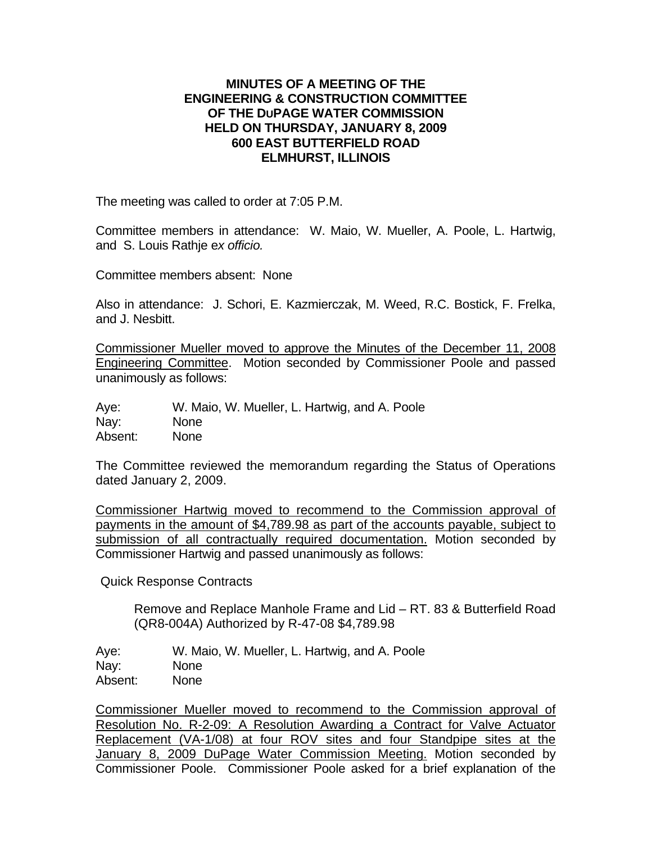## **MINUTES OF A MEETING OF THE ENGINEERING & CONSTRUCTION COMMITTEE OF THE DUPAGE WATER COMMISSION HELD ON THURSDAY, JANUARY 8, 2009 600 EAST BUTTERFIELD ROAD ELMHURST, ILLINOIS**

The meeting was called to order at 7:05 P.M.

Committee members in attendance: W. Maio, W. Mueller, A. Poole, L. Hartwig, and S. Louis Rathje e*x officio.*

Committee members absent: None

Also in attendance: J. Schori, E. Kazmierczak, M. Weed, R.C. Bostick, F. Frelka, and J. Nesbitt.

Commissioner Mueller moved to approve the Minutes of the December 11, 2008 Engineering Committee. Motion seconded by Commissioner Poole and passed unanimously as follows:

Aye: W. Maio, W. Mueller, L. Hartwig, and A. Poole Nay: None Absent: None

The Committee reviewed the memorandum regarding the Status of Operations dated January 2, 2009.

Commissioner Hartwig moved to recommend to the Commission approval of payments in the amount of \$4,789.98 as part of the accounts payable, subject to submission of all contractually required documentation. Motion seconded by Commissioner Hartwig and passed unanimously as follows:

Quick Response Contracts

Remove and Replace Manhole Frame and Lid – RT. 83 & Butterfield Road (QR8-004A) Authorized by R-47-08 \$4,789.98

Aye: W. Maio, W. Mueller, L. Hartwig, and A. Poole Nay: None Absent: None

Commissioner Mueller moved to recommend to the Commission approval of Resolution No. R-2-09: A Resolution Awarding a Contract for Valve Actuator Replacement (VA-1/08) at four ROV sites and four Standpipe sites at the January 8, 2009 DuPage Water Commission Meeting. Motion seconded by Commissioner Poole. Commissioner Poole asked for a brief explanation of the